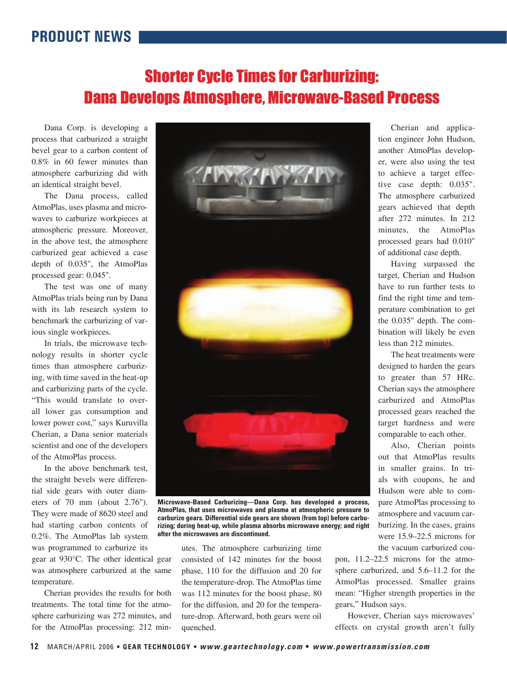# Shorter Cycle Times for Carburizing: Dana Develops Atmosphere, Microwave-Based Process

Dana Corp. is developing a process that carburized a straight bevel gear to a carbon content of 0.8% in 60 fewer minutes than atmosphere carburizing did with an identical straight bevel.

The Dana process, called AtmoPlas, uses plasma and microwaves to carburize workpieces at atmospheric pressure. Moreover, in the above test, the atmosphere carburized gear achieved a case depth of 0.035", the AtmoPlas processed gear: 0.045".

The test was one of many AtmoPlas trials being run by Dana with its lab research system to benchmark the carburizing of various single workpieces.

In trials, the microwave technology results in shorter cycle times than atmosphere carburizing, with time saved in the heat-up and carburizing parts of the cycle. "This would translate to overall lower gas consumption and lower power cost," says Kuruvilla Cherian, a Dana senior materials scientist and one of the developers of the AtmoPlas process.

In the above benchmark test, the straight bevels were differential side gears with outer diameters of 70 mm (about 2.76"). They were made of 8620 steel and had starting carbon contents of 0.2%. The AtmoPlas lab system was programmed to carburize its

gear at 930°C. The other identical gear was atmosphere carburized at the same temperature.

Cherian provides the results for both treatments. The total time for the atmosphere carburizing was 272 minutes, and for the AtmoPlas processing: 212 min-



**Microwave-Based Carburizing—Dana Corp. has developed a process, AtmoPlas, that uses microwaves and plasma at atmospheric pressure to carburize gears. Differential side gears are shown (from top) before carburizing; during heat-up, while plasma absorbs microwave energy; and right after the microwaves are discontinued.** 

utes. The atmosphere carburizing time consisted of 142 minutes for the boost phase, 110 for the diffusion and 20 for the temperature-drop. The AtmoPlas time was 112 minutes for the boost phase, 80 for the diffusion, and 20 for the temperature-drop. Afterward, both gears were oil quenched.

Cherian and application engineer John Hudson, another AtmoPlas developer, were also using the test to achieve a target effective case depth: 0.035". The atmosphere carburized gears achieved that depth after 272 minutes. In 212 minutes, the AtmoPlas processed gears had 0.010" of additional case depth.

Having surpassed the target, Cherian and Hudson have to run further tests to find the right time and temperature combination to get the 0.035" depth. The combination will likely be even less than 212 minutes.

The heat treatments were designed to harden the gears to greater than 57 HRc. Cherian says the atmosphere carburized and AtmoPlas processed gears reached the target hardness and were comparable to each other.

Also, Cherian points out that AtmoPlas results in smaller grains. In trials with coupons, he and Hudson were able to compare AtmoPlas processing to atmosphere and vacuum carburizing. In the cases, grains were 15.9–22.5 microns for the vacuum carburized cou-

pon, 11.2–22.5 microns for the atmosphere carburized, and 5.6–11.2 for the AtmoPlas processed. Smaller grains mean: "Higher strength properties in the gears," Hudson says.

However, Cherian says microwaves' effects on crystal growth aren't fully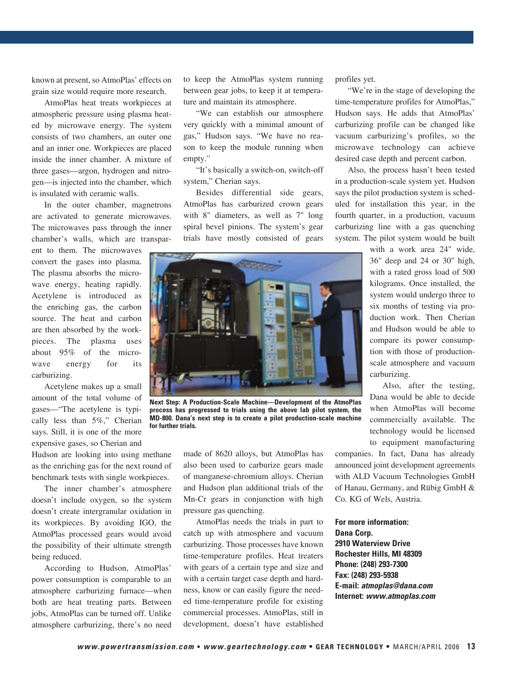known at present, so AtmoPlas' effects on grain size would require more research.

AtmoPlas heat treats workpieces at atmospheric pressure using plasma heated by microwave energy. The system consists of two chambers, an outer one and an inner one. Workpieces are placed inside the inner chamber. A mixture of three gases—argon, hydrogen and nitrogen—is injected into the chamber, which is insulated with ceramic walls.

In the outer chamber, magnetrons are activated to generate microwaves. The microwaves pass through the inner chamber's walls, which are transpar-

ent to them. The microwaves convert the gases into plasma. The plasma absorbs the microwave energy, heating rapidly. Acetylene is introduced as the enriching gas, the carbon source. The heat and carbon are then absorbed by the workpieces. The plasma uses about 95% of the microwave energy for its carburizing.

Acetylene makes up a small amount of the total volume of gases—"The acetylene is typically less than 5%," Cherian says. Still, it is one of the more expensive gases, so Cherian and

Hudson are looking into using methane as the enriching gas for the next round of benchmark tests with single workpieces.

The inner chamber's atmosphere doesn't include oxygen, so the system doesn't create intergranular oxidation in its workpieces. By avoiding IGO, the AtmoPlas processed gears would avoid the possibility of their ultimate strength being reduced.

According to Hudson, AtmoPlas' power consumption is comparable to an atmosphere carburizing furnace—when both are heat treating parts. Between jobs, AtmoPlas can be turned off. Unlike atmosphere carburizing, there's no need

to keep the AtmoPlas system running between gear jobs, to keep it at temperature and maintain its atmosphere.

"We can establish our atmosphere very quickly with a minimal amount of gas," Hudson says. "We have no reason to keep the module running when empty."

"It's basically a switch-on, switch-off system," Cherian says.

Besides differential side gears, AtmoPlas has carburized crown gears with 8" diameters, as well as 7" long spiral bevel pinions. The system's gear trials have mostly consisted of gears profiles yet.

"We're in the stage of developing the time-temperature profiles for AtmoPlas," Hudson says. He adds that AtmoPlas' carburizing profile can be changed like vacuum carburizing's profiles, so the microwave technology can achieve desired case depth and percent carbon.

Also, the process hasn't been tested in a production-scale system yet. Hudson says the pilot production system is scheduled for installation this year, in the fourth quarter, in a production, vacuum carburizing line with a gas quenching system. The pilot system would be built

> with a work area 24" wide, 36" deep and 24 or 30" high, with a rated gross load of 500 kilograms. Once installed, the system would undergo three to six months of testing via production work. Then Cherian and Hudson would be able to compare its power consumption with those of productionscale atmosphere and vacuum carburizing.

Also, after the testing, Dana would be able to decide when AtmoPlas will become commercially available. The technology would be licensed to equipment manufacturing

companies. In fact, Dana has already announced joint development agreements with ALD Vacuum Technologies GmbH of Hanau, Germany, and Rübig GmbH & Co. KG of Wels, Austria.

**For more information: Dana Corp. 2910 Waterview Drive Rochester Hills, MI 48309 Phone: (248) 293-7300 Fax: (248) 293-5938 E-mail: atmoplas@dana.com Internet: www.atmoplas.com**



made of 8620 alloys, but AtmoPlas has also been used to carburize gears made **for further trials.**

of manganese-chromium alloys. Cherian and Hudson plan additional trials of the Mn-Cr gears in conjunction with high pressure gas quenching.

AtmoPlas needs the trials in part to catch up with atmosphere and vacuum carburizing. Those processes have known time-temperature profiles. Heat treaters with gears of a certain type and size and with a certain target case depth and hardness, know or can easily figure the needed time-temperature profile for existing commercial processes. AtmoPlas, still in development, doesn't have established

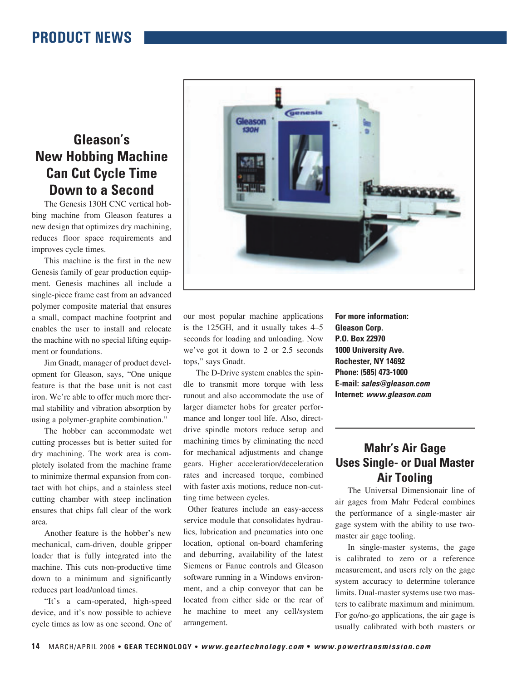### **Gleason's New Hobbing Machine Can Cut Cycle Time Down to a Second**

The Genesis 130H CNC vertical hobbing machine from Gleason features a new design that optimizes dry machining, reduces floor space requirements and improves cycle times.

This machine is the first in the new Genesis family of gear production equipment. Genesis machines all include a single-piece frame cast from an advanced polymer composite material that ensures a small, compact machine footprint and enables the user to install and relocate the machine with no special lifting equipment or foundations.

Jim Gnadt, manager of product development for Gleason, says, "One unique feature is that the base unit is not cast iron. We're able to offer much more thermal stability and vibration absorption by using a polymer-graphite combination."

The hobber can accommodate wet cutting processes but is better suited for dry machining. The work area is completely isolated from the machine frame to minimize thermal expansion from contact with hot chips, and a stainless steel cutting chamber with steep inclination ensures that chips fall clear of the work area.

Another feature is the hobber's new mechanical, cam-driven, double gripper loader that is fully integrated into the machine. This cuts non-productive time down to a minimum and significantly reduces part load/unload times.

"It's a cam-operated, high-speed device, and it's now possible to achieve cycle times as low as one second. One of



our most popular machine applications is the 125GH, and it usually takes 4–5 seconds for loading and unloading. Now we've got it down to 2 or 2.5 seconds tops," says Gnadt.

The D-Drive system enables the spindle to transmit more torque with less runout and also accommodate the use of larger diameter hobs for greater performance and longer tool life. Also, directdrive spindle motors reduce setup and machining times by eliminating the need for mechanical adjustments and change gears. Higher acceleration/deceleration rates and increased torque, combined with faster axis motions, reduce non-cutting time between cycles.

 Other features include an easy-access service module that consolidates hydraulics, lubrication and pneumatics into one location, optional on-board chamfering and deburring, availability of the latest Siemens or Fanuc controls and Gleason software running in a Windows environment, and a chip conveyor that can be located from either side or the rear of he machine to meet any cell/system arrangement.

**For more information: Gleason Corp. P.O. Box 22970 1000 University Ave. Rochester, NY 14692 Phone: (585) 473-1000 E-mail: sales@gleason.com Internet: www.gleason.com**

### **Mahr's Air Gage Uses Single- or Dual Master Air Tooling**

The Universal Dimensionair line of air gages from Mahr Federal combines the performance of a single-master air gage system with the ability to use twomaster air gage tooling.

In single-master systems, the gage is calibrated to zero or a reference measurement, and users rely on the gage system accuracy to determine tolerance limits. Dual-master systems use two masters to calibrate maximum and minimum. For go/no-go applications, the air gage is usually calibrated with both masters or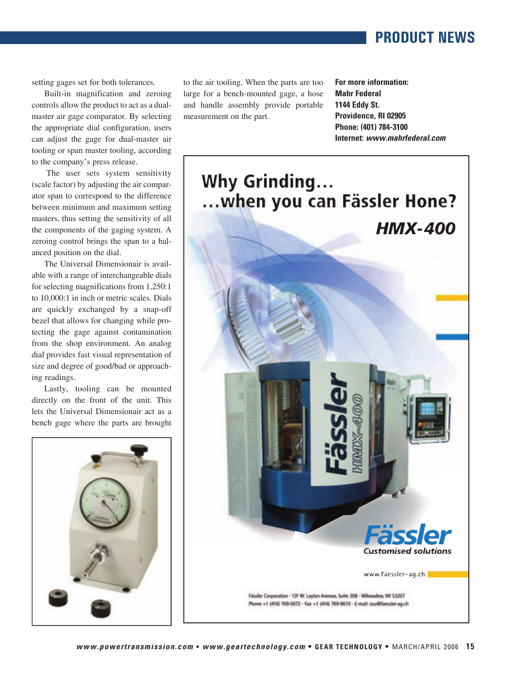setting gages set for both tolerances.

Built-in magnification and zeroing controls allow the product to act as a dualmaster air gage comparator. By selecting the appropriate dial configuration, users can adjust the gage for dual-master air tooling or span master tooling, according to the company's press release.

 The user sets system sensitivity (scale factor) by adjusting the air comparator span to correspond to the difference between minimum and maximum setting masters, thus setting the sensitivity of all the components of the gaging system. A zeroing control brings the span to a balanced position on the dial.

The Universal Dimensionair is available with a range of interchangeable dials for selecting magnifications from 1,250:1 to 10,000:1 in inch or metric scales. Dials are quickly exchanged by a snap-off bezel that allows for changing while protecting the gage against contamination from the shop environment. An analog dial provides fast visual representation of size and degree of good/bad or approaching readings.

Lastly, tooling can be mounted directly on the front of the unit. This lets the Universal Dimensionair act as a bench gage where the parts are brought



to the air tooling. When the parts are too large for a bench-mounted gage, a hose and handle assembly provide portable measurement on the part.

**For more information: Mahr Federal 1144 Eddy St. Providence, RI 02905 Phone: (401) 784-3100 Internet: www.mahrfederal.com**

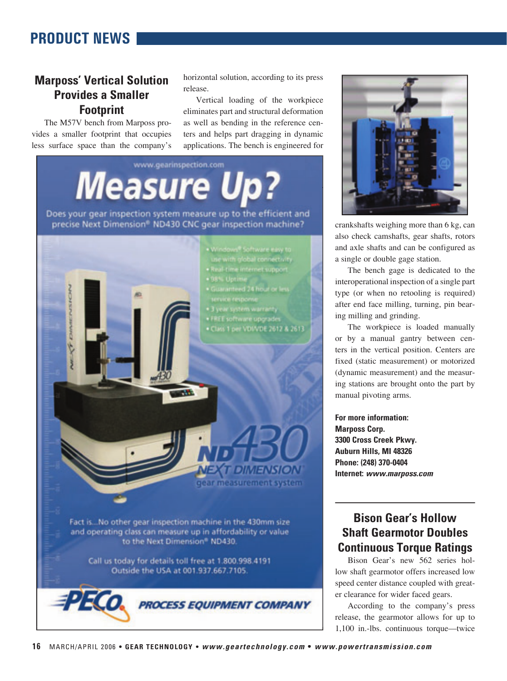#### **Marposs' Vertical Solution Provides a Smaller Footprint**

The M57V bench from Marposs provides a smaller footprint that occupies less surface space than the company's horizontal solution, according to its press release.

Vertical loading of the workpiece eliminates part and structural deformation as well as bending in the reference centers and helps part dragging in dynamic applications. The bench is engineered for





crankshafts weighing more than 6 kg, can also check camshafts, gear shafts, rotors and axle shafts and can be configured as a single or double gage station.

The bench gage is dedicated to the interoperational inspection of a single part type (or when no retooling is required) after end face milling, turning, pin bearing milling and grinding.

The workpiece is loaded manually or by a manual gantry between centers in the vertical position. Centers are fixed (static measurement) or motorized (dynamic measurement) and the measuring stations are brought onto the part by manual pivoting arms.

**For more information: Marposs Corp. 3300 Cross Creek Pkwy. Auburn Hills, MI 48326 Phone: (248) 370-0404 Internet: www.marposs.com**

### **Bison Gear's Hollow Shaft Gearmotor Doubles Continuous Torque Ratings**

Bison Gear's new 562 series hollow shaft gearmotor offers increased low speed center distance coupled with greater clearance for wider faced gears.

According to the company's press release, the gearmotor allows for up to 1,100 in.-lbs. continuous torque—twice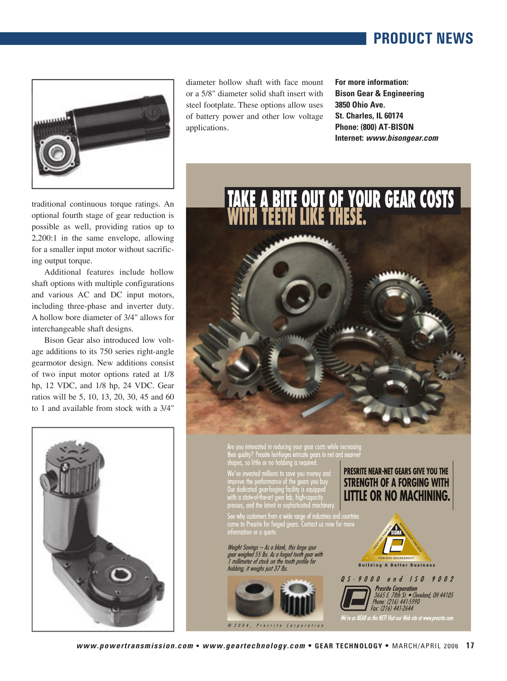

diameter hollow shaft with face mount or a 5/8" diameter solid shaft insert with steel footplate. These options allow uses of battery power and other low voltage applications.

**For more information: Bison Gear & Engineering 3850 Ohio Ave. St. Charles, IL 60174 Phone: (800) AT-BISON Internet: www.bisongear.com**

traditional continuous torque ratings. An optional fourth stage of gear reduction is possible as well, providing ratios up to 2,200:1 in the same envelope, allowing for a smaller input motor without sacrificing output torque.

Additional features include hollow shaft options with multiple configurations and various AC and DC input motors, including three-phase and inverter duty. A hollow bore diameter of 3/4" allows for interchangeable shaft designs.

Bison Gear also introduced low voltage additions to its 750 series right-angle gearmotor design. New additions consist of two input motor options rated at 1/8 hp, 12 VDC, and 1/8 hp, 24 VDC. Gear ratios will be 5, 10, 13, 20, 30, 45 and 60 to 1 and available from stock with a 3/4"





Are you interested in reducing your gear costs while increasing<br>their quality? Presrite hot-forges intricate gears to net and near-net<br>shapes, so little or no hobbing is required.

improve the performance of the gears you buy.<br>Our dedicated gear-forging facility is equipped<br>with a state-of-the-art gear lab, high-capacity<br>presses, and the latest in sophisticated machinery.

See why customers from a wide range of industries and countries<br>come to Presrite for forged gears. Contact us now for more

Weight Savings - As a blank, this large spur gear weighted 55 lbs. As a forged tooth gear with<br>gear weighed 55 lbs. As a forged tooth gear with<br>1 millimeter of stock on the tooth profile for hobbing, it weighs just 37 lbs.



**STRENGTH OF A FORGING WITH** LITTLE OR NO MACHINING.

PRESRITE NEAR-NET GEARS GIVE YOU THE



QS-9000 and ISO 9002

Fax: (216) 441-2644

Presrite Corporation<br>3665 E. 78th St. • Cleveland, OH 44105<br>Phone: (216) 441-5990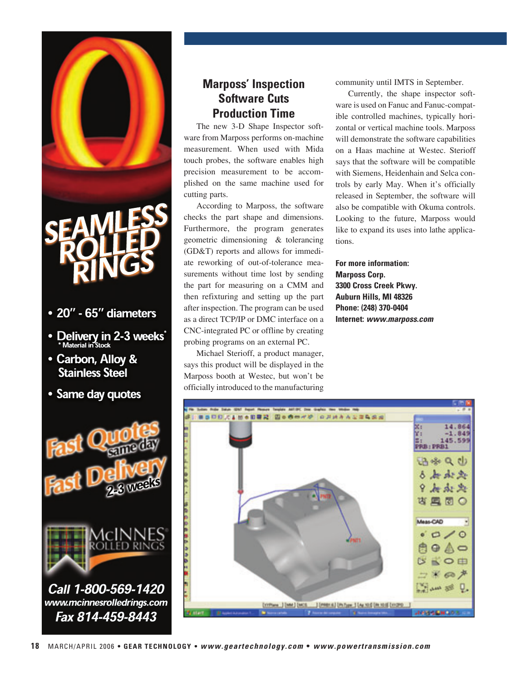

- 20" 65" diameters
- Delivery in 2-3 weeks<sup>\*</sup><br>\* Material in Stock
- Carbon, Alloy & **Stainless Steel**
- Same day quotes



### **Marposs' Inspection Software Cuts Production Time**

The new 3-D Shape Inspector software from Marposs performs on-machine measurement. When used with Mida touch probes, the software enables high precision measurement to be accomplished on the same machine used for cutting parts.

According to Marposs, the software checks the part shape and dimensions. Furthermore, the program generates geometric dimensioning & tolerancing (GD&T) reports and allows for immediate reworking of out-of-tolerance measurements without time lost by sending the part for measuring on a CMM and then refixturing and setting up the part after inspection. The program can be used as a direct TCP/IP or DMC interface on a CNC-integrated PC or offline by creating probing programs on an external PC.

Michael Sterioff, a product manager, says this product will be displayed in the Marposs booth at Westec, but won't be officially introduced to the manufacturing community until IMTS in September.

Currently, the shape inspector software is used on Fanuc and Fanuc-compatible controlled machines, typically horizontal or vertical machine tools. Marposs will demonstrate the software capabilities on a Haas machine at Westec. Sterioff says that the software will be compatible with Siemens, Heidenhain and Selca controls by early May. When it's officially released in September, the software will also be compatible with Okuma controls. Looking to the future, Marposs would like to expand its uses into lathe applications.

**For more information: Marposs Corp. 3300 Cross Creek Pkwy. Auburn Hills, MI 48326 Phone: (248) 370-0404 Internet: www.marposs.com**